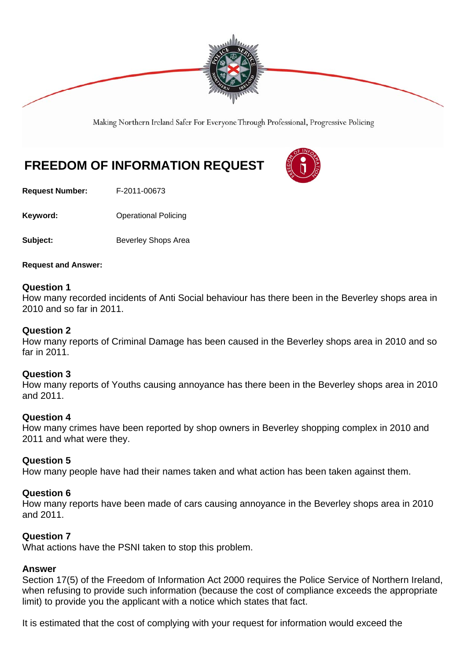

Making Northern Ireland Safer For Everyone Through Professional, Progressive Policing

# **FREEDOM OF INFORMATION REQUEST**

**Request Number:** F-2011-00673

**Keyword: Conservery Operational Policing** 

**Subject:** Beverley Shops Area

**Request and Answer:** 

## **Question 1**

How many recorded incidents of Anti Social behaviour has there been in the Beverley shops area in 2010 and so far in 2011.

## **Question 2**

How many reports of Criminal Damage has been caused in the Beverley shops area in 2010 and so far in 2011.

# **Question 3**

How many reports of Youths causing annoyance has there been in the Beverley shops area in 2010 and 2011.

#### **Question 4**

How many crimes have been reported by shop owners in Beverley shopping complex in 2010 and 2011 and what were they.

# **Question 5**

How many people have had their names taken and what action has been taken against them.

# **Question 6**

How many reports have been made of cars causing annoyance in the Beverley shops area in 2010 and 2011.

# **Question 7**

What actions have the PSNI taken to stop this problem.

#### **Answer**

Section 17(5) of the Freedom of Information Act 2000 requires the Police Service of Northern Ireland, when refusing to provide such information (because the cost of compliance exceeds the appropriate limit) to provide you the applicant with a notice which states that fact.

It is estimated that the cost of complying with your request for information would exceed the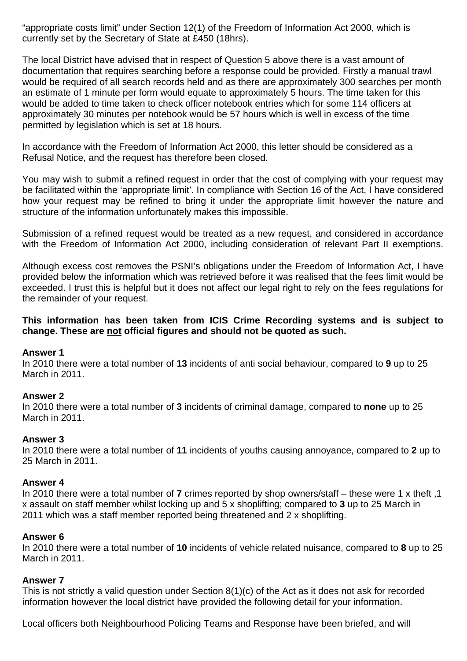"appropriate costs limit" under Section 12(1) of the Freedom of Information Act 2000, which is currently set by the Secretary of State at £450 (18hrs).

The local District have advised that in respect of Question 5 above there is a vast amount of documentation that requires searching before a response could be provided. Firstly a manual trawl would be required of all search records held and as there are approximately 300 searches per month an estimate of 1 minute per form would equate to approximately 5 hours. The time taken for this would be added to time taken to check officer notebook entries which for some 114 officers at approximately 30 minutes per notebook would be 57 hours which is well in excess of the time permitted by legislation which is set at 18 hours.

In accordance with the Freedom of Information Act 2000, this letter should be considered as a Refusal Notice, and the request has therefore been closed.

You may wish to submit a refined request in order that the cost of complying with your request may be facilitated within the 'appropriate limit'. In compliance with Section 16 of the Act, I have considered how your request may be refined to bring it under the appropriate limit however the nature and structure of the information unfortunately makes this impossible.

Submission of a refined request would be treated as a new request, and considered in accordance with the Freedom of Information Act 2000, including consideration of relevant Part II exemptions.

Although excess cost removes the PSNI's obligations under the Freedom of Information Act, I have provided below the information which was retrieved before it was realised that the fees limit would be exceeded. I trust this is helpful but it does not affect our legal right to rely on the fees regulations for the remainder of your request.

# **This information has been taken from ICIS Crime Recording systems and is subject to change. These are not official figures and should not be quoted as such.**

# **Answer 1**

In 2010 there were a total number of **13** incidents of anti social behaviour, compared to **9** up to 25 March in 2011.

#### **Answer 2**

In 2010 there were a total number of **3** incidents of criminal damage, compared to **none** up to 25 March in 2011.

#### **Answer 3**

In 2010 there were a total number of **11** incidents of youths causing annoyance, compared to **2** up to 25 March in 2011.

#### **Answer 4**

In 2010 there were a total number of **7** crimes reported by shop owners/staff – these were 1 x theft ,1 x assault on staff member whilst locking up and 5 x shoplifting; compared to **3** up to 25 March in 2011 which was a staff member reported being threatened and 2 x shoplifting.

# **Answer 6**

In 2010 there were a total number of **10** incidents of vehicle related nuisance, compared to **8** up to 25 March in 2011.

#### **Answer 7**

This is not strictly a valid question under Section 8(1)(c) of the Act as it does not ask for recorded information however the local district have provided the following detail for your information.

Local officers both Neighbourhood Policing Teams and Response have been briefed, and will